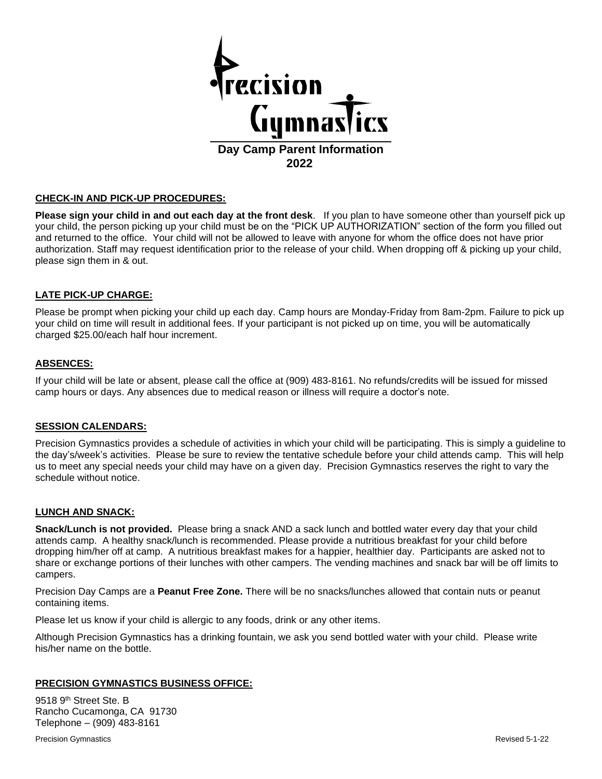

#### **CHECK-IN AND PICK-UP PROCEDURES:**

**Please sign your child in and out each day at the front desk**. If you plan to have someone other than yourself pick up your child, the person picking up your child must be on the "PICK UP AUTHORIZATION" section of the form you filled out and returned to the office. Your child will not be allowed to leave with anyone for whom the office does not have prior authorization. Staff may request identification prior to the release of your child. When dropping off & picking up your child, please sign them in & out.

## **LATE PICK-UP CHARGE:**

Please be prompt when picking your child up each day. Camp hours are Monday-Friday from 8am-2pm. Failure to pick up your child on time will result in additional fees. If your participant is not picked up on time, you will be automatically charged \$25.00/each half hour increment.

#### **ABSENCES:**

If your child will be late or absent, please call the office at (909) 483-8161. No refunds/credits will be issued for missed camp hours or days. Any absences due to medical reason or illness will require a doctor's note.

#### **SESSION CALENDARS:**

Precision Gymnastics provides a schedule of activities in which your child will be participating. This is simply a guideline to the day's/week's activities. Please be sure to review the tentative schedule before your child attends camp. This will help us to meet any special needs your child may have on a given day. Precision Gymnastics reserves the right to vary the schedule without notice.

#### **LUNCH AND SNACK:**

**Snack/Lunch is not provided.** Please bring a snack AND a sack lunch and bottled water every day that your child attends camp. A healthy snack/lunch is recommended. Please provide a nutritious breakfast for your child before dropping him/her off at camp. A nutritious breakfast makes for a happier, healthier day. Participants are asked not to share or exchange portions of their lunches with other campers. The vending machines and snack bar will be off limits to campers.

Precision Day Camps are a **Peanut Free Zone.** There will be no snacks/lunches allowed that contain nuts or peanut containing items.

Please let us know if your child is allergic to any foods, drink or any other items.

Although Precision Gymnastics has a drinking fountain, we ask you send bottled water with your child. Please write his/her name on the bottle.

#### **PRECISION GYMNASTICS BUSINESS OFFICE:**

9518 9<sup>th</sup> Street Ste. B Rancho Cucamonga, CA 91730 Telephone – (909) 483-8161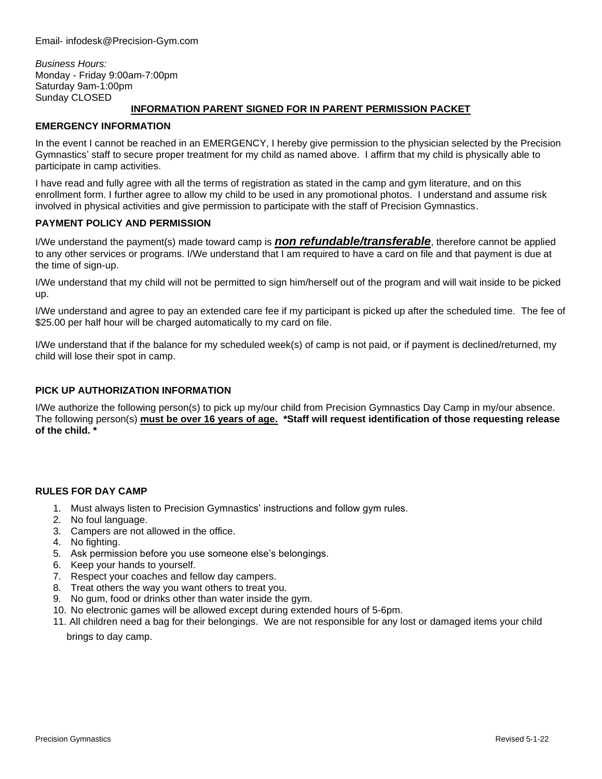*Business Hours:* Monday - Friday 9:00am-7:00pm Saturday 9am-1:00pm Sunday CLOSED

### **INFORMATION PARENT SIGNED FOR IN PARENT PERMISSION PACKET**

#### **EMERGENCY INFORMATION**

In the event I cannot be reached in an EMERGENCY, I hereby give permission to the physician selected by the Precision Gymnastics' staff to secure proper treatment for my child as named above. I affirm that my child is physically able to participate in camp activities.

I have read and fully agree with all the terms of registration as stated in the camp and gym literature, and on this enrollment form. I further agree to allow my child to be used in any promotional photos. I understand and assume risk involved in physical activities and give permission to participate with the staff of Precision Gymnastics.

## **PAYMENT POLICY AND PERMISSION**

I/We understand the payment(s) made toward camp is *non refundable/transferable*, therefore cannot be applied to any other services or programs. I/We understand that I am required to have a card on file and that payment is due at the time of sign-up.

I/We understand that my child will not be permitted to sign him/herself out of the program and will wait inside to be picked up.

I/We understand and agree to pay an extended care fee if my participant is picked up after the scheduled time. The fee of \$25.00 per half hour will be charged automatically to my card on file.

I/We understand that if the balance for my scheduled week(s) of camp is not paid, or if payment is declined/returned, my child will lose their spot in camp.

### **PICK UP AUTHORIZATION INFORMATION**

I/We authorize the following person(s) to pick up my/our child from Precision Gymnastics Day Camp in my/our absence. The following person(s) **must be over 16 years of age. \*Staff will request identification of those requesting release of the child. \***

#### **RULES FOR DAY CAMP**

- 1. Must always listen to Precision Gymnastics' instructions and follow gym rules.
- 2. No foul language.
- 3. Campers are not allowed in the office.
- 4. No fighting.
- 5. Ask permission before you use someone else's belongings.
- 6. Keep your hands to yourself.
- 7. Respect your coaches and fellow day campers.
- 8. Treat others the way you want others to treat you.
- 9. No gum, food or drinks other than water inside the gym.
- 10. No electronic games will be allowed except during extended hours of 5-6pm.
- 11. All children need a bag for their belongings. We are not responsible for any lost or damaged items your child

brings to day camp.